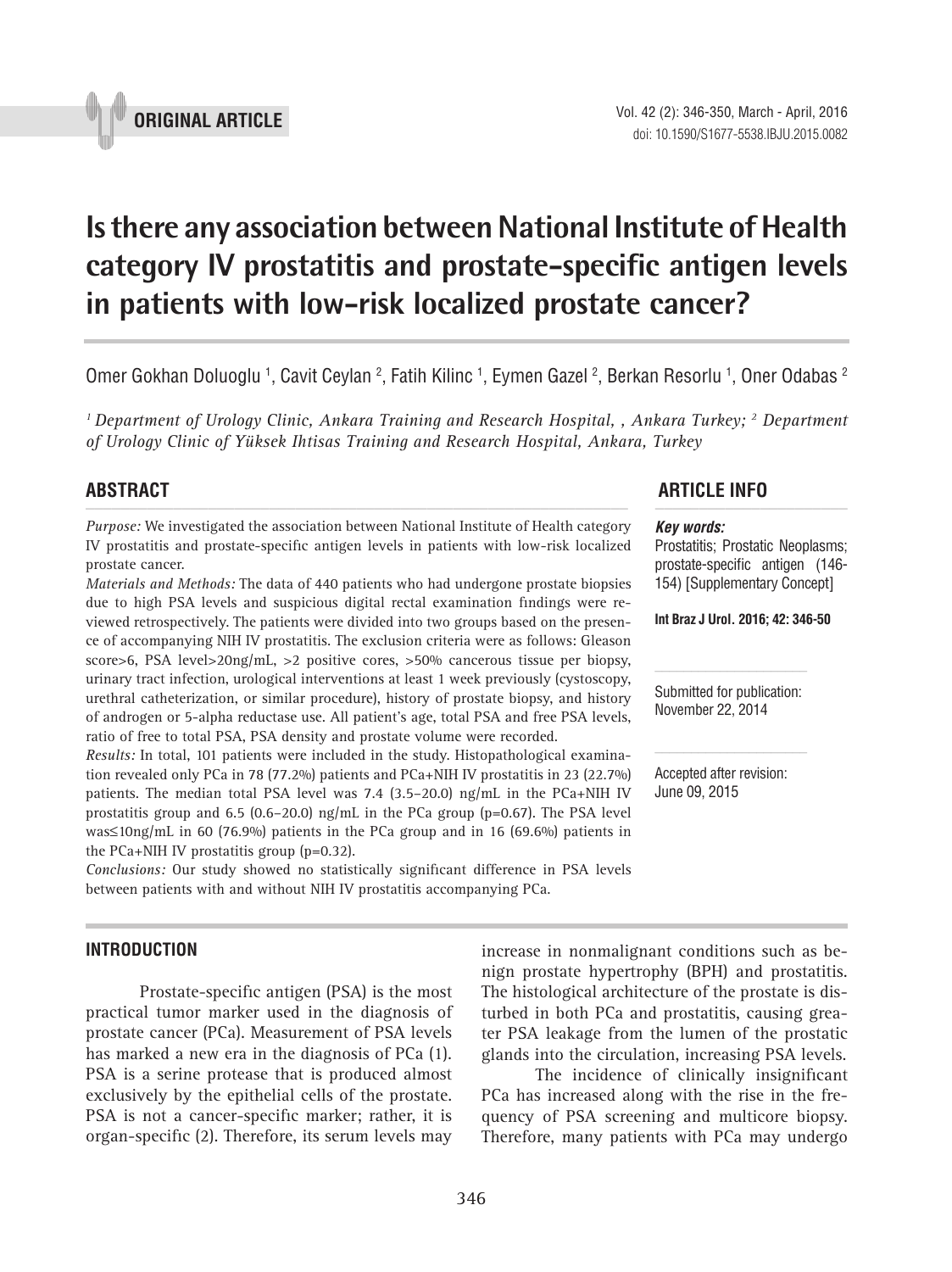

# **Is there any association between National Institute of Health category IV prostatitis and prostate-specific antigen levels in patients with low-risk localized prostate cancer? \_\_\_\_\_\_\_\_\_\_\_\_\_\_\_\_\_\_\_\_\_\_\_\_\_\_\_\_\_\_\_\_\_\_\_\_\_\_\_\_\_\_\_\_\_\_\_**

Omer Gokhan Doluoglu <sup>1</sup>, Cavit Ceylan <sup>2</sup>, Fatih Kilinc <sup>1</sup>, Eymen Gazel <sup>2</sup>, Berkan Resorlu <sup>1</sup>, Oner Odabas <sup>2</sup>

<sup>1</sup> Department of Urology Clinic, Ankara Training and Research Hospital, , Ankara Turkey; <sup>2</sup> Department *of Urology Clinic of Yüksek Ihtisas Training and Research Hospital, Ankara, Turkey*

*Purpose:* We investigated the association between National Institute of Health category IV prostatitis and prostate-specific antigen levels in patients with low-risk localized prostate cancer.

*Materials and Methods:* The data of 440 patients who had undergone prostate biopsies due to high PSA levels and suspicious digital rectal examination findings were reviewed retrospectively. The patients were divided into two groups based on the presence of accompanying NIH IV prostatitis. The exclusion criteria were as follows: Gleason score>6, PSA level>20ng/mL, >2 positive cores, >50% cancerous tissue per biopsy, urinary tract infection, urological interventions at least 1 week previously (cystoscopy, urethral catheterization, or similar procedure), history of prostate biopsy, and history of androgen or 5-alpha reductase use. All patient's age, total PSA and free PSA levels, ratio of free to total PSA, PSA density and prostate volume were recorded.

*Results:* In total, 101 patients were included in the study. Histopathological examination revealed only PCa in 78 (77.2%) patients and PCa+NIH IV prostatitis in 23 (22.7%) patients. The median total PSA level was 7.4  $(3.5-20.0)$  ng/mL in the PCa+NIH IV prostatitis group and 6.5 (0.6–20.0) ng/mL in the PCa group (p=0.67). The PSA level was≤10ng/mL in 60 (76.9%) patients in the PCa group and in 16 (69.6%) patients in the PCa+NIH IV prostatitis group  $(p=0.32)$ .

*Conclusions:* Our study showed no statistically significant difference in PSA levels between patients with and without NIH IV prostatitis accompanying PCa.

#### **INTRODUCTION**

Prostate-specific antigen (PSA) is the most practical tumor marker used in the diagnosis of prostate cancer (PCa). Measurement of PSA levels has marked a new era in the diagnosis of PCa (1). PSA is a serine protease that is produced almost exclusively by the epithelial cells of the prostate. PSA is not a cancer-specific marker; rather, it is organ-specific (2). Therefore, its serum levels may

# **ABSTRACT ARTICLE INFO** *\_\_\_\_\_\_\_\_\_\_\_\_\_\_\_\_\_\_\_\_\_\_\_\_\_\_\_\_\_\_\_\_\_\_\_\_\_\_\_\_\_\_\_\_\_\_\_\_\_\_\_\_\_\_\_\_\_\_\_\_\_\_ \_\_\_\_\_\_\_\_\_\_\_\_\_\_\_\_\_\_\_\_\_\_*

#### *Key words:*

Prostatitis; Prostatic Neoplasms; prostate-specific antigen (146- 154) [Supplementary Concept]

**Int Braz J Urol. 2016; 42: 346-50**

Submitted for publication: November 22, 2014

Accepted after revision: June 09, 2015

The histological architecture of the prostate is disturbed in both PCa and prostatitis, causing greater PSA leakage from the lumen of the prostatic glands into the circulation, increasing PSA levels. The incidence of clinically insignificant PCa has increased along with the rise in the fre-

quency of PSA screening and multicore biopsy. Therefore, many patients with PCa may undergo

increase in nonmalignant conditions such as benign prostate hypertrophy (BPH) and prostatitis.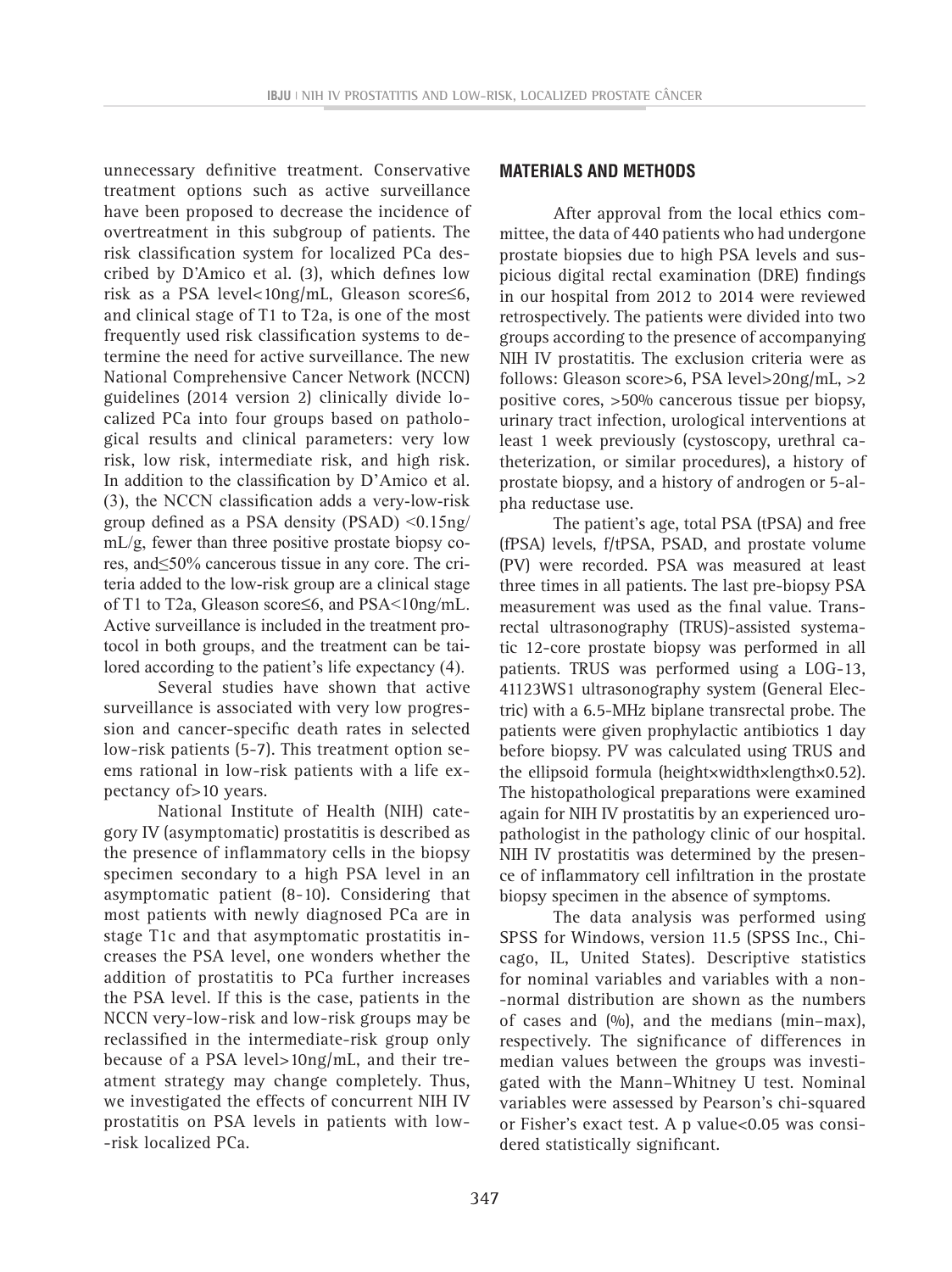unnecessary definitive treatment. Conservative treatment options such as active surveillance have been proposed to decrease the incidence of overtreatment in this subgroup of patients. The risk classification system for localized PCa described by D'Amico et al. (3), which defines low risk as a PSA level<10ng/mL, Gleason score≤6, and clinical stage of T1 to T2a, is one of the most frequently used risk classification systems to determine the need for active surveillance. The new National Comprehensive Cancer Network (NCCN) guidelines (2014 version 2) clinically divide localized PCa into four groups based on pathological results and clinical parameters: very low risk, low risk, intermediate risk, and high risk. In addition to the classification by D'Amico et al. (3), the NCCN classification adds a very-low-risk group defined as a PSA density (PSAD) <0.15ng/ mL/g, fewer than three positive prostate biopsy cores, and≤50% cancerous tissue in any core. The criteria added to the low-risk group are a clinical stage of T1 to T2a, Gleason score≤6, and PSA<10ng/mL. Active surveillance is included in the treatment protocol in both groups, and the treatment can be tailored according to the patient's life expectancy (4).

Several studies have shown that active surveillance is associated with very low progression and cancer-specific death rates in selected low-risk patients (5-7). This treatment option seems rational in low-risk patients with a life expectancy of>10 years.

National Institute of Health (NIH) category IV (asymptomatic) prostatitis is described as the presence of inflammatory cells in the biopsy specimen secondary to a high PSA level in an asymptomatic patient (8-10). Considering that most patients with newly diagnosed PCa are in stage T1c and that asymptomatic prostatitis increases the PSA level, one wonders whether the addition of prostatitis to PCa further increases the PSA level. If this is the case, patients in the NCCN very-low-risk and low-risk groups may be reclassified in the intermediate-risk group only because of a PSA level>10ng/mL, and their treatment strategy may change completely. Thus, we investigated the effects of concurrent NIH IV prostatitis on PSA levels in patients with low- -risk localized PCa.

#### **MATERIALS AND METHODS**

After approval from the local ethics committee, the data of 440 patients who had undergone prostate biopsies due to high PSA levels and suspicious digital rectal examination (DRE) findings in our hospital from 2012 to 2014 were reviewed retrospectively. The patients were divided into two groups according to the presence of accompanying NIH IV prostatitis. The exclusion criteria were as follows: Gleason score>6, PSA level>20ng/mL, >2 positive cores, >50% cancerous tissue per biopsy, urinary tract infection, urological interventions at least 1 week previously (cystoscopy, urethral catheterization, or similar procedures), a history of prostate biopsy, and a history of androgen or 5-alpha reductase use.

The patient's age, total PSA (tPSA) and free (fPSA) levels, f/tPSA, PSAD, and prostate volume (PV) were recorded. PSA was measured at least three times in all patients. The last pre-biopsy PSA measurement was used as the final value. Transrectal ultrasonography (TRUS)-assisted systematic 12-core prostate biopsy was performed in all patients. TRUS was performed using a LOG-13, 41123WS1 ultrasonography system (General Electric) with a 6.5-MHz biplane transrectal probe. The patients were given prophylactic antibiotics 1 day before biopsy. PV was calculated using TRUS and the ellipsoid formula (height×width×length×0.52). The histopathological preparations were examined again for NIH IV prostatitis by an experienced uropathologist in the pathology clinic of our hospital. NIH IV prostatitis was determined by the presence of inflammatory cell infiltration in the prostate biopsy specimen in the absence of symptoms.

The data analysis was performed using SPSS for Windows, version 11.5 (SPSS Inc., Chicago, IL, United States). Descriptive statistics for nominal variables and variables with a non- -normal distribution are shown as the numbers of cases and  $(%)$ , and the medians (min–max), respectively. The significance of differences in median values between the groups was investigated with the Mann–Whitney U test. Nominal variables were assessed by Pearson's chi-squared or Fisher's exact test. A p value<0.05 was considered statistically significant.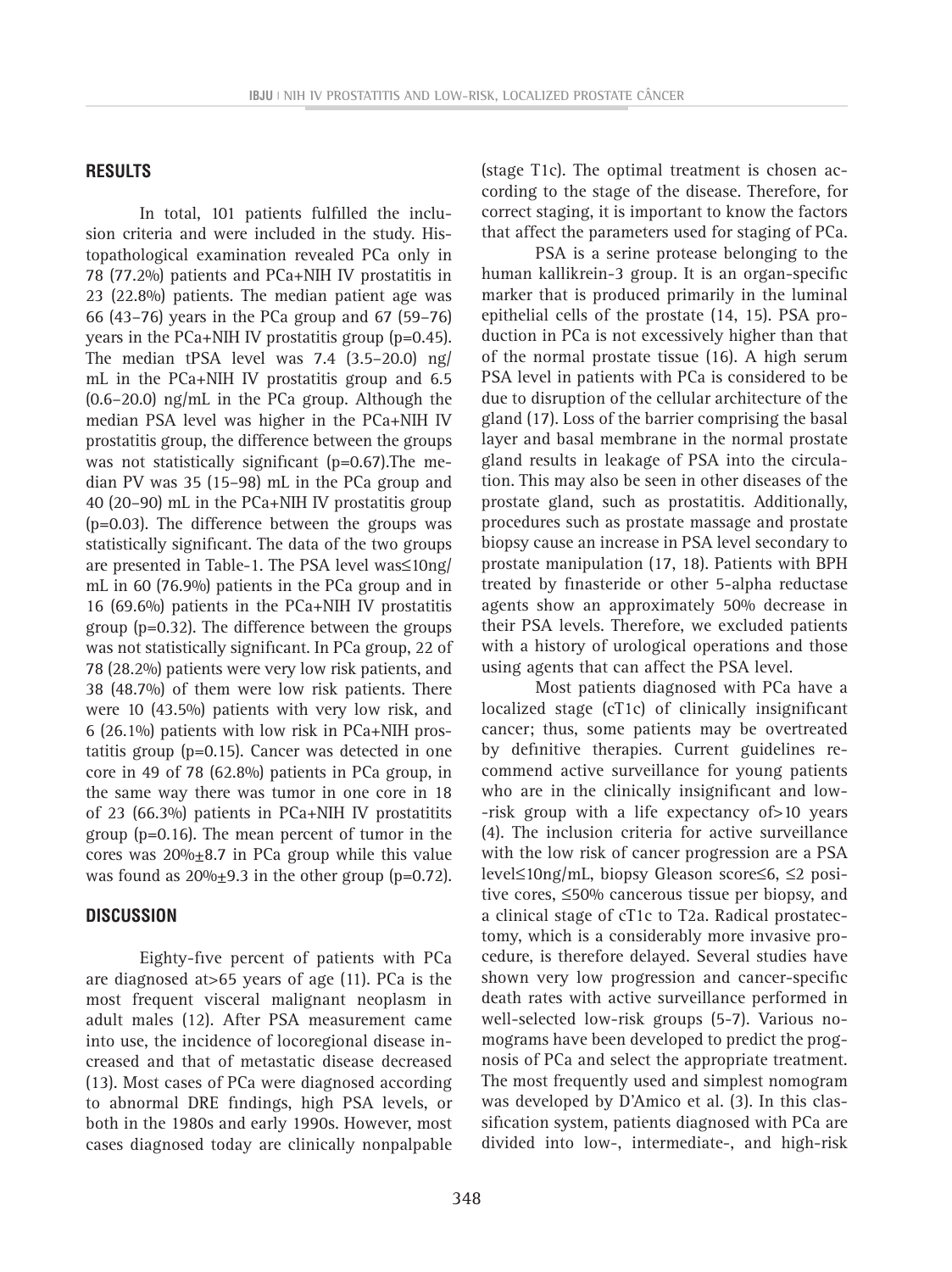#### **RESULTS**

In total, 101 patients fulfilled the inclusion criteria and were included in the study. Histopathological examination revealed PCa only in 78 (77.2%) patients and PCa+NIH IV prostatitis in 23 (22.8%) patients. The median patient age was 66 (43–76) years in the PCa group and 67 (59–76) years in the PCa+NIH IV prostatitis group (p=0.45). The median tPSA level was 7.4 (3.5–20.0) ng/ mL in the PCa+NIH IV prostatitis group and 6.5 (0.6–20.0) ng/mL in the PCa group. Although the median PSA level was higher in the PCa+NIH IV prostatitis group, the difference between the groups was not statistically significant (p=0.67).The median PV was 35 (15–98) mL in the PCa group and 40 (20–90) mL in the PCa+NIH IV prostatitis group (p=0.03). The difference between the groups was statistically significant. The data of the two groups are presented in Table-1. The PSA level was≤10ng/ mL in 60 (76.9%) patients in the PCa group and in 16 (69.6%) patients in the PCa+NIH IV prostatitis group (p=0.32). The difference between the groups was not statistically significant. In PCa group, 22 of 78 (28.2%) patients were very low risk patients, and 38 (48.7%) of them were low risk patients. There were 10 (43.5%) patients with very low risk, and 6 (26.1%) patients with low risk in PCa+NIH prostatitis group (p=0.15). Cancer was detected in one core in 49 of 78 (62.8%) patients in PCa group, in the same way there was tumor in one core in 18 of 23 (66.3%) patients in PCa+NIH IV prostatitits group (p=0.16). The mean percent of tumor in the cores was  $20\% + 8.7$  in PCa group while this value was found as  $20\% \pm 9.3$  in the other group (p=0.72).

#### **DISCUSSION**

Eighty-five percent of patients with PCa are diagnosed at>65 years of age (11). PCa is the most frequent visceral malignant neoplasm in adult males (12). After PSA measurement came into use, the incidence of locoregional disease increased and that of metastatic disease decreased (13). Most cases of PCa were diagnosed according to abnormal DRE findings, high PSA levels, or both in the 1980s and early 1990s. However, most cases diagnosed today are clinically nonpalpable (stage T1c). The optimal treatment is chosen according to the stage of the disease. Therefore, for correct staging, it is important to know the factors that affect the parameters used for staging of PCa. PSA is a serine protease belonging to the

human kallikrein-3 group. It is an organ-specific marker that is produced primarily in the luminal epithelial cells of the prostate (14, 15). PSA production in PCa is not excessively higher than that of the normal prostate tissue (16). A high serum PSA level in patients with PCa is considered to be due to disruption of the cellular architecture of the gland (17). Loss of the barrier comprising the basal layer and basal membrane in the normal prostate gland results in leakage of PSA into the circulation. This may also be seen in other diseases of the prostate gland, such as prostatitis. Additionally, procedures such as prostate massage and prostate biopsy cause an increase in PSA level secondary to prostate manipulation (17, 18). Patients with BPH treated by finasteride or other 5-alpha reductase agents show an approximately 50% decrease in their PSA levels. Therefore, we excluded patients with a history of urological operations and those using agents that can affect the PSA level.

Most patients diagnosed with PCa have a localized stage (cT1c) of clinically insignificant cancer; thus, some patients may be overtreated by definitive therapies. Current guidelines recommend active surveillance for young patients who are in the clinically insignificant and low- -risk group with a life expectancy of>10 years (4). The inclusion criteria for active surveillance with the low risk of cancer progression are a PSA level≤10ng/mL, biopsy Gleason score≤6, ≤2 positive cores, ≤50% cancerous tissue per biopsy, and a clinical stage of cT1c to T2a. Radical prostatectomy, which is a considerably more invasive procedure, is therefore delayed. Several studies have shown very low progression and cancer-specific death rates with active surveillance performed in well-selected low-risk groups (5-7). Various nomograms have been developed to predict the prognosis of PCa and select the appropriate treatment. The most frequently used and simplest nomogram was developed by D'Amico et al. (3). In this classification system, patients diagnosed with PCa are divided into low-, intermediate-, and high-risk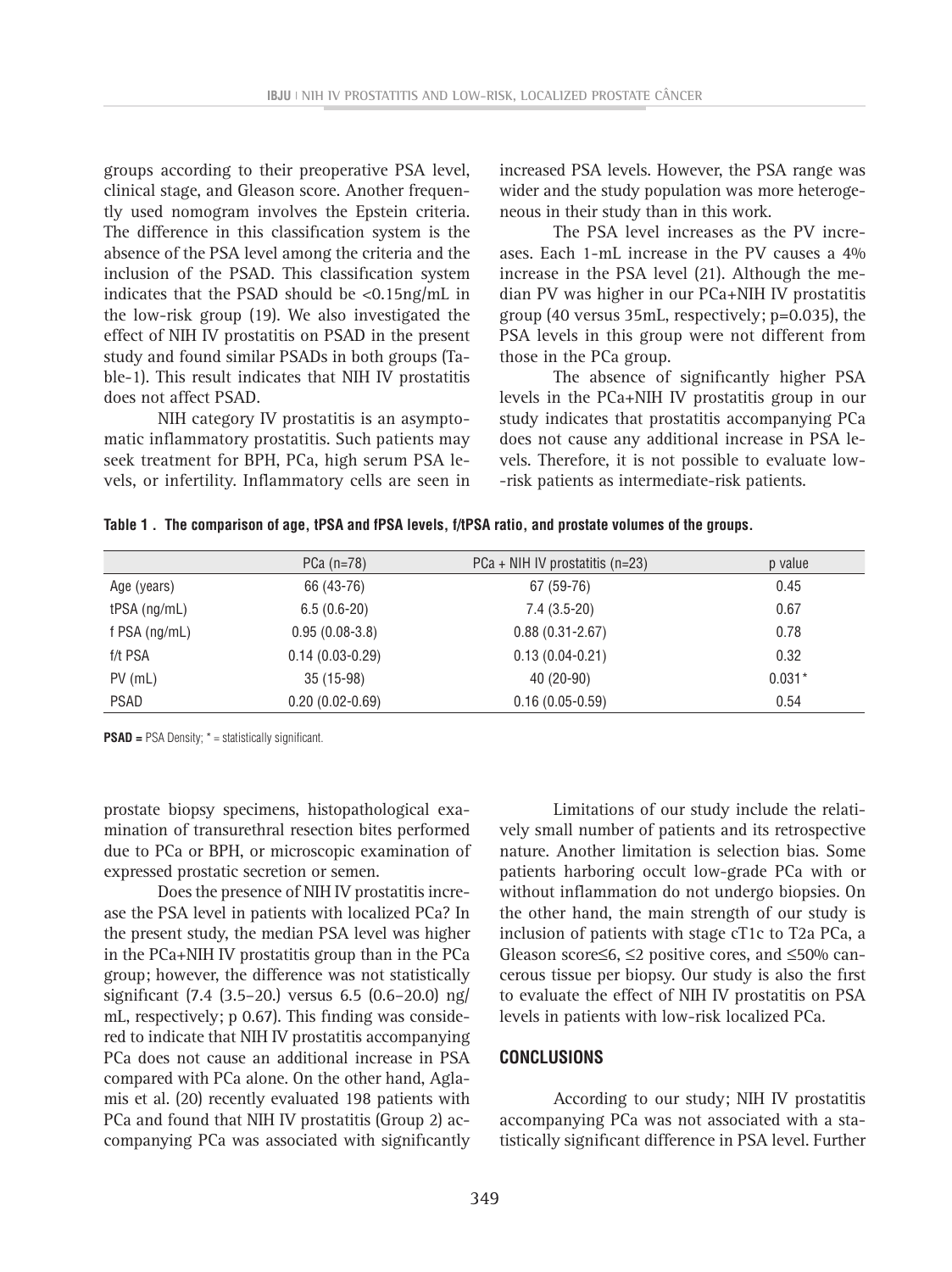groups according to their preoperative PSA level, clinical stage, and Gleason score. Another frequently used nomogram involves the Epstein criteria. The difference in this classification system is the absence of the PSA level among the criteria and the inclusion of the PSAD. This classification system indicates that the PSAD should be  $\langle 0.15 \text{ng/mL} \rangle$  in the low-risk group (19). We also investigated the effect of NIH IV prostatitis on PSAD in the present study and found similar PSADs in both groups (Table-1). This result indicates that NIH IV prostatitis does not affect PSAD.

NIH category IV prostatitis is an asymptomatic inflammatory prostatitis. Such patients may seek treatment for BPH, PCa, high serum PSA levels, or infertility. Inflammatory cells are seen in increased PSA levels. However, the PSA range was wider and the study population was more heterogeneous in their study than in this work.

The PSA level increases as the PV increases. Each 1-mL increase in the PV causes a 4% increase in the PSA level (21). Although the median PV was higher in our PCa+NIH IV prostatitis group (40 versus 35mL, respectively; p=0.035), the PSA levels in this group were not different from those in the PCa group.

The absence of significantly higher PSA levels in the PCa+NIH IV prostatitis group in our study indicates that prostatitis accompanying PCa does not cause any additional increase in PSA levels. Therefore, it is not possible to evaluate low- -risk patients as intermediate-risk patients.

|  | Table 1. The comparison of age, tPSA and fPSA levels, f/tPSA ratio, and prostate volumes of the groups. |  |  |  |  |
|--|---------------------------------------------------------------------------------------------------------|--|--|--|--|
|--|---------------------------------------------------------------------------------------------------------|--|--|--|--|

|                 | PCa $(n=78)$      | $PCa + NHH IV$ prostatitis (n=23) | p value  |
|-----------------|-------------------|-----------------------------------|----------|
| Age (years)     | 66 (43-76)        | 67 (59-76)                        | 0.45     |
| $tPSA$ (ng/mL)  | $6.5(0.6-20)$     | $7.4(3.5-20)$                     | 0.67     |
| f PSA $(ng/mL)$ | $0.95(0.08-3.8)$  | $0.88(0.31 - 2.67)$               | 0.78     |
| f/t PSA         | $0.14(0.03-0.29)$ | $0.13(0.04 - 0.21)$               | 0.32     |
| $PV$ (mL)       | $35(15-98)$       | $40(20-90)$                       | $0.031*$ |
| <b>PSAD</b>     | $0.20(0.02-0.69)$ | $0.16(0.05-0.59)$                 | 0.54     |

**PSAD =** PSA Density; \* = statistically significant.

prostate biopsy specimens, histopathological examination of transurethral resection bites performed due to PCa or BPH, or microscopic examination of expressed prostatic secretion or semen.

Does the presence of NIH IV prostatitis increase the PSA level in patients with localized PCa? In the present study, the median PSA level was higher in the PCa+NIH IV prostatitis group than in the PCa group; however, the difference was not statistically significant (7.4 (3.5–20.) versus 6.5 (0.6–20.0) ng/ mL, respectively; p 0.67). This finding was considered to indicate that NIH IV prostatitis accompanying PCa does not cause an additional increase in PSA compared with PCa alone. On the other hand, Aglamis et al. (20) recently evaluated 198 patients with PCa and found that NIH IV prostatitis (Group 2) accompanying PCa was associated with significantly

Limitations of our study include the relatively small number of patients and its retrospective nature. Another limitation is selection bias. Some patients harboring occult low-grade PCa with or without inflammation do not undergo biopsies. On the other hand, the main strength of our study is inclusion of patients with stage cT1c to T2a PCa, a Gleason score≤6, ≤2 positive cores, and ≤50% cancerous tissue per biopsy. Our study is also the first to evaluate the effect of NIH IV prostatitis on PSA levels in patients with low-risk localized PCa.

#### **CONCLUSIONS**

According to our study; NIH IV prostatitis accompanying PCa was not associated with a statistically significant difference in PSA level. Further